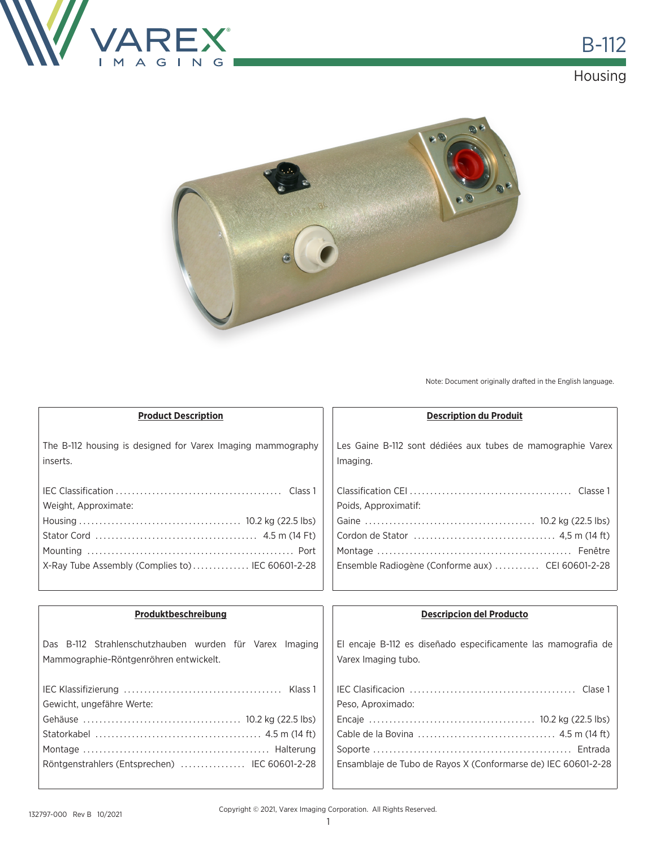



Note: Document originally drafted in the English language.

| <b>Product Description</b>                                  | <b>Description du Produit</b>                                 |  |
|-------------------------------------------------------------|---------------------------------------------------------------|--|
| The B-112 housing is designed for Varex Imaging mammography | Les Gaine B-112 sont dédiées aux tubes de mamographie Varex   |  |
| inserts.                                                    | Imaging.                                                      |  |
|                                                             |                                                               |  |
| Weight, Approximate:                                        | Poids, Approximatif:                                          |  |
|                                                             |                                                               |  |
|                                                             |                                                               |  |
|                                                             |                                                               |  |
| X-Ray Tube Assembly (Complies to) IEC 60601-2-28            | Ensemble Radiogène (Conforme aux)  CEI 60601-2-28             |  |
|                                                             |                                                               |  |
| Produktbeschreibung                                         | <b>Descripcion del Producto</b>                               |  |
| Das B-112 Strahlenschutzhauben wurden für Varex Imaging     | El encaje B-112 es diseñado especificamente las mamografia de |  |
| Mammographie-Röntgenröhren entwickelt.                      | Varex Imaging tubo.                                           |  |
|                                                             |                                                               |  |
| Gewicht, ungefähre Werte:                                   | Peso, Aproximado:                                             |  |
|                                                             |                                                               |  |
|                                                             |                                                               |  |
|                                                             |                                                               |  |
| Röntgenstrahlers (Entsprechen)  IEC 60601-2-28              | Ensamblaje de Tubo de Rayos X (Conformarse de) IEC 60601-2-28 |  |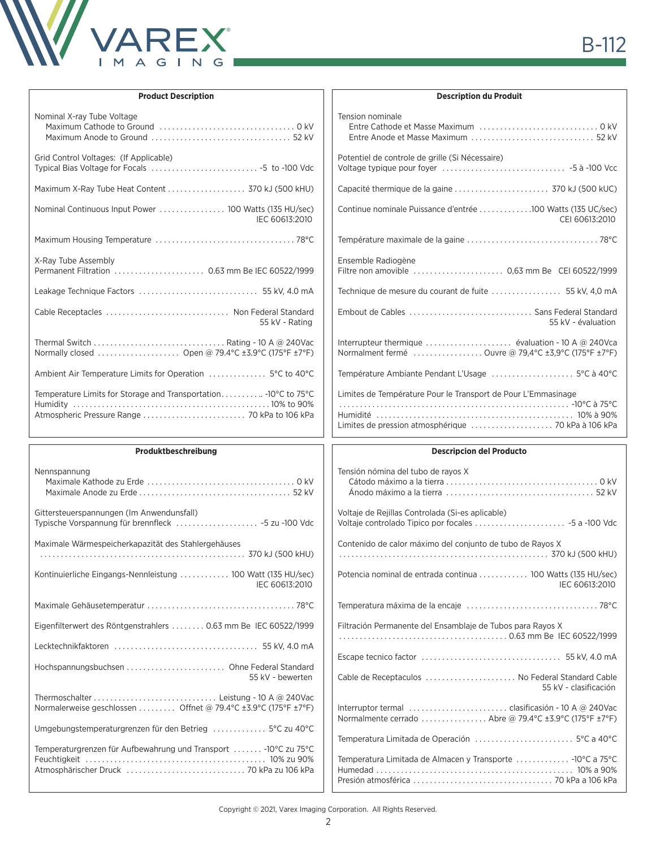

| <b>Product Description</b>                                                                       | <b>Description du Produit</b>                                                                                        |  |
|--------------------------------------------------------------------------------------------------|----------------------------------------------------------------------------------------------------------------------|--|
| Nominal X-ray Tube Voltage                                                                       | Tension nominale                                                                                                     |  |
| Grid Control Voltages: (If Applicable)                                                           | Potentiel de controle de grille (Si Nécessaire)                                                                      |  |
| Maximum X-Ray Tube Heat Content  370 kJ (500 kHU)                                                |                                                                                                                      |  |
| IEC 60613:2010                                                                                   | Continue nominale Puissance d'entrée 100 Watts (135 UC/sec)<br>CEI 60613:2010                                        |  |
|                                                                                                  |                                                                                                                      |  |
| X-Ray Tube Assembly                                                                              | Ensemble Radiogène                                                                                                   |  |
|                                                                                                  |                                                                                                                      |  |
| Cable Receptacles  Non Federal Standard<br>55 kV - Rating                                        | 55 kV - évaluation                                                                                                   |  |
| Normally closed  Open @ 79.4°C ±3.9°C (175°F ±7°F)                                               | Normalment fermé  Ouvre @ 79.4°C ±3.9°C (175°F ±7°F)                                                                 |  |
| Ambient Air Temperature Limits for Operation  5°C to 40°C                                        | Température Ambiante Pendant L'Usage  5°C à 40°C                                                                     |  |
| Temperature Limits for Storage and Transportation - 10°C to 75°C                                 | Limites de Température Pour le Transport de Pour L'Emmasinage<br>Limites de pression atmosphérique  70 kPa à 106 kPa |  |
|                                                                                                  |                                                                                                                      |  |
| Produktbeschreibung                                                                              | <b>Descripcion del Producto</b>                                                                                      |  |
| Nennspannung                                                                                     | Tensión nómina del tubo de rayos X                                                                                   |  |
| Gittersteuerspannungen (Im Anwendunsfall)<br>Typische Vorspannung für brennfleck  -5 zu -100 Vdc | Voltaje de Rejillas Controlada (Si-es aplicable)                                                                     |  |
| Maximale Wärmespeicherkapazität des Stahlergehäuses                                              | Contenido de calor máximo del conjunto de tubo de Rayos X                                                            |  |
| Kontinuierliche Eingangs-Nennleistung  100 Watt (135 HU/sec)<br>IEC 60613:2010                   | Potencia nominal de entrada continua  100 Watts (135 HU/sec)<br>IEC 60613:2010                                       |  |
|                                                                                                  |                                                                                                                      |  |
| Eigenfilterwert des Röntgenstrahlers  0.63 mm Be IEC 60522/1999                                  | Filtración Permanente del Ensamblaje de Tubos para Rayos X                                                           |  |
|                                                                                                  |                                                                                                                      |  |
| 55 kV - bewerten                                                                                 | Cable de Receptaculos  No Federal Standard Cable                                                                     |  |
| Normalerweise geschlossen  Offnet @ 79.4°C ±3.9°C (175°F ±7°F)                                   | 55 kV - clasificación<br>Normalmente cerrado  Abre @ 79.4°C ±3.9°C (175°F ±7°F)                                      |  |
| Umgebungstemperaturgrenzen für den Betrieg  5°C zu 40°C                                          |                                                                                                                      |  |

 $\sqrt{ }$ 

## Copyright © 2021, Varex Imaging Corporation. All Rights Reserved.

Humedad . . 10% a 90% Presión atmosférica . 70 kPa a 106 kPa

Atmosphärischer Druck . 70 kPa zu 106 kPa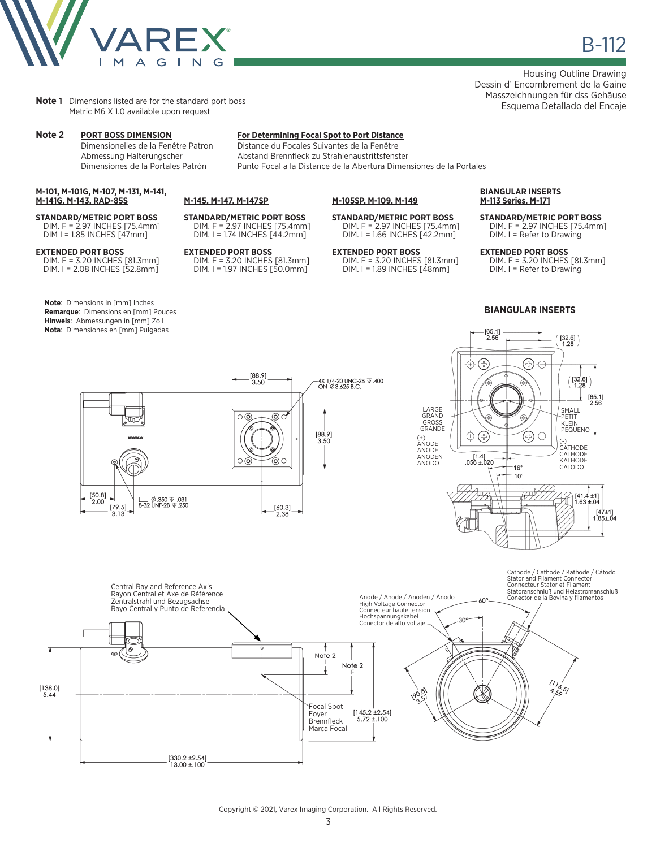

**Note 1** Dimensions listed are for the standard port boss Metric M6 X 1.0 available upon request

### **M-101, M-101G, M-107, M-131, M-141, M-141G, M-143, RAD-85S**

**STANDARD/METRIC PORT BOSS** DIM. F = 2.97 INCHES [75.4mm] DIM I = 1.85 INCHES [47mm]

**EXTENDED PORT BOSS** DIM. F = 3.20 INCHES [81.3mm] DIM. I = 2.08 INCHES [52.8mm]

**Note**: Dimensions in [mm] Inches **Remarque**: Dimensions en [mm] Pouces **Hinweis**: Abmessungen in [mm] Zoll **Nota**: Dimensiones en [mm] Pulgadas

[50.8]<br>2.00

 $\begin{bmatrix} 79.5 \\ 3.13 \end{bmatrix}$ 

– U Ø.350 V .031<br>8–32 UNF-2B V .250

# **Note 2 PORT BOSS DIMENSION For Determining Focal Spot to Port Distance**

Distance du Focales Suivantes de la Fenêtre Abmessung Halterungscher Abstand Brennfleck zu Strahlenaustrittsfenster Dimensiones de la Portales Patrón Punto Focal a la Distance de la Abertura Dimensiones de la Portales

**M-105SP, M-109, M-149**

### **M-145, M-147, M-147SP**

**STANDARD/METRIC PORT BOSS** DIM. F = 2.97 INCHES [75.4mm] DIM. I = 1.74 INCHES [44.2mm]

**EXTENDED PORT BOSS** DIM. F = 3.20 INCHES [81.3mm] DIM. I = 1.97 INCHES [50.0mm]

 $[88.9]$ <br>3.50

 $\circ$ 

⊚○

 $[60.3]$ <br>2.38

 $\circ$   $\circ$ 

0 (

**STANDARD/METRIC PORT BOSS** DIM. F = 2.97 INCHES [75.4mm] DIM. I = 1.66 INCHES [42.2mm]

**EXTENDED PORT BOSS** DIM. F = 3.20 INCHES [81.3mm] DIM. I = 1.89 INCHES [48mm]

### **BIANGULAR INSERTS M-113 Series, M-171**

**STANDARD/METRIC PORT BOSS** DIM. F = 2.97 INCHES [75.4mm] DIM. I = Refer to Drawing

**EXTENDED PORT BOSS** DIM. F = 3.20 INCHES [81.3mm] DIM. I = Refer to Drawing

 $[65.1]$ <br>2.56

 $[47±1]$ <br>1.85±.04

### **BIANGULAR INSERTS**





Copyright © 2021, Varex Imaging Corporation. All Rights Reserved.

3

Housing Outline Drawing Dessin d' Encombrement de la Gaine Masszeichnungen für dss Gehäuse Esquema Detallado del Encaje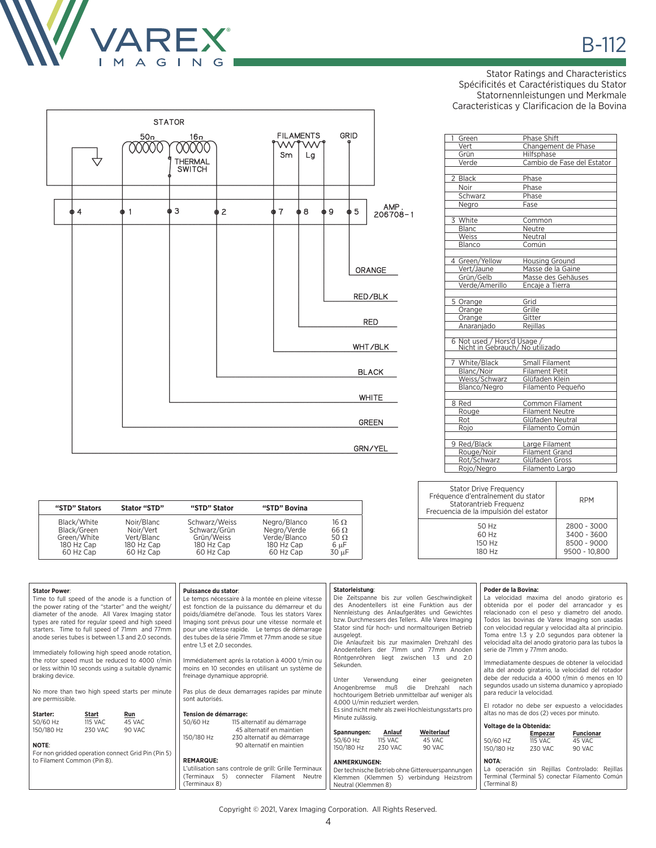

Stator Ratings and Characteristics Spécificités et Caractéristiques du Stator Statornennleistungen und Merkmale Caracteristicas y Clarificacion de la Bovina



**"STD" Stators Stator "STD" "STD" Stator "STD" Bovina**

Black/White Noir/Blanc Schwarz/Weiss Negro/Blanco 16 Ω<br>Black/Green Noir/Vert Schwarz/Grün Negro/Verde 66 Ω<br>Green/White Vert/Blanc Grün/Weiss Verde/Blanco 50 Ω 180 Hz Cap 180 Hz Cap 180 Hz Cap 180 Hz Cap 6 µF 60 Hz Cap 60 Hz Cap 60 Hz Cap 60 Hz Cap 30 µF

| 1<br>Green                                                     | Phase Shift                |
|----------------------------------------------------------------|----------------------------|
| Vert                                                           | Changement de Phase        |
| Grün                                                           | Hilfsphase                 |
| Verde                                                          | Cambio de Fase del Estator |
| 2 Black                                                        | Phase                      |
| <b>Noir</b>                                                    | Phase                      |
| Schwarz                                                        | Phase                      |
| Negro                                                          | Fase                       |
| 3 White                                                        | Common                     |
| Blanc                                                          | Neutre                     |
| <b>Weiss</b>                                                   | Neutral                    |
| Blanco                                                         | Común                      |
| 4 Green/Yellow                                                 | <b>Housing Ground</b>      |
| Vert/Jaune                                                     | Masse de la Gaine          |
| Grün/Gelb                                                      | Masse des Gehäuses         |
| Verde/Amerillo                                                 | Encaje a Tierra            |
| 5 Orange                                                       | Grid                       |
| Orange                                                         | Grille                     |
| Orange                                                         | Gitter                     |
| Anaraniado                                                     | Reiillas                   |
| 6 Not used / Hors'd Usage /<br>Nicht in Gebrauch/ No utilizado |                            |
| 7 White/Black                                                  | Small Filament             |
| Blanc/Noir                                                     | <b>Filament Petit</b>      |
| Weiss/Schwarz                                                  | Glüfaden Klein             |
| Blanco/Negro                                                   | Filamento Pequeño          |
| 8 Red                                                          | <b>Common Filament</b>     |
| Rouge                                                          | <b>Filament Neutre</b>     |
| Rot                                                            | Glüfaden Neutral           |
| Rojo                                                           | Filamento Común            |
| 9 Red/Black                                                    | Large Filament             |
| Rouge/Noir                                                     | <b>Filament Grand</b>      |
| Rot/Schwarz                                                    | Glüfaden Gross             |
| Rojo/Negro                                                     | Filamento Largo            |

| <b>Stator Drive Frequency</b><br>Fréquence d'entraînement du stator<br>Statorantrieb Frequenz<br>Frecuencia de la impulsión del estator | <b>RPM</b>    |
|-----------------------------------------------------------------------------------------------------------------------------------------|---------------|
| 50 Hz                                                                                                                                   | 2800 - 3000   |
| 60 Hz                                                                                                                                   | 3400 - 3600   |
| 150 Hz                                                                                                                                  | 8500 - 9000   |
| 180 Hz                                                                                                                                  | 9500 - 10.800 |

| <b>Stator Power:</b><br>Time to full speed of the anode is a function of<br>the power rating of the "starter" and the weight/<br>diameter of the anode. All Varex Imaging stator<br>types are rated for regular speed and high speed<br>starters. Time to full speed of 71mm and 77mm<br>anode series tubes is between 1.3 and 2.0 seconds.<br>Immediately following high speed anode rotation,<br>the rotor speed must be reduced to 4000 r/min<br>or less within 10 seconds using a suitable dynamic<br>braking device.<br>No more than two high speed starts per minute<br>are permissible. | Puissance du stator:<br>Le temps nécessaire à la montée en pleine vitesse<br>est fonction de la puissance du démarreur et du<br>poids/diamétre del'anode. Tous les stators Varex<br>Imaging sont prévus pour une vitesse normale et<br>pour une vitesse rapide. Le temps de démarrage<br>des tubes de la série 71mm et 77mm anode se situe<br>entre 1.3 et 2.0 secondes.<br>Immédiatement aprés la rotation à 4000 t/min ou<br>moins en 10 secondes en utilisant un système de<br>freinage dynamique approprié.<br>Pas plus de deux demarrages rapides par minute<br>sont autorisés. | Statorleistung:<br>Die Zeitspanne bis zur vollen Geschwindigkeit<br>des Anodentellers ist eine Funktion aus der<br>Nennleistung des Anlaufgerätes und Gewichtes<br>bzw. Durchmessers des Tellers. Alle Varex Imaging<br>Stator sind für hoch- und normaltourigen Betrieb<br>ausgelegt.<br>Die Anlaufzeit bis zur maximalen Drehzahl des<br>Anodentellers der 71mm und 77mm Anoden<br>1.3<br>Röntgenröhren<br>und $2.0$<br>liegt zwischen<br>Sekunden.<br>Verwendung<br>geeigneten<br>Unter<br>einer<br>die<br>Anogenbremse<br>muß<br>Drehzahl<br>nach<br>hochtourigem Betrieb unmittelbar auf weniger als | Poder de la Bovina:<br>La velocidad maxima del anodo giratorio es<br>obtenida por el poder del arrancador y es<br>relacionado con el peso y diametro del anodo.<br>Todos las bovinas de Varex Imaging son usadas<br>con velocidad regular y velocidad alta al principio.<br>Toma entre 1.3 y 2.0 segundos para obtener la<br>velocidad alta del anodo giratorio para las tubos la<br>serie de 71mm y 77mm anodo.<br>Immediatamente despues de obtener la velocidad<br>alta del anodo giratario, la velocidad del rotador<br>debe der reducida a 4000 r/min ó menos en 10<br>segundos usado un sistema dunamico y apropiado<br>para reducir la velocidad. |
|------------------------------------------------------------------------------------------------------------------------------------------------------------------------------------------------------------------------------------------------------------------------------------------------------------------------------------------------------------------------------------------------------------------------------------------------------------------------------------------------------------------------------------------------------------------------------------------------|--------------------------------------------------------------------------------------------------------------------------------------------------------------------------------------------------------------------------------------------------------------------------------------------------------------------------------------------------------------------------------------------------------------------------------------------------------------------------------------------------------------------------------------------------------------------------------------|-----------------------------------------------------------------------------------------------------------------------------------------------------------------------------------------------------------------------------------------------------------------------------------------------------------------------------------------------------------------------------------------------------------------------------------------------------------------------------------------------------------------------------------------------------------------------------------------------------------|----------------------------------------------------------------------------------------------------------------------------------------------------------------------------------------------------------------------------------------------------------------------------------------------------------------------------------------------------------------------------------------------------------------------------------------------------------------------------------------------------------------------------------------------------------------------------------------------------------------------------------------------------------|
| Starter:<br>Start<br>Run<br>45 VAC<br>50/60 Hz<br><b>115 VAC</b><br>150/180 Hz<br>230 VAC<br>90 VAC<br><b>NOTE:</b><br>For non gridded operation connect Grid Pin (Pin 5)<br>to Filament Common (Pin 8).                                                                                                                                                                                                                                                                                                                                                                                       | Tension de démarrage:<br>115 alternatif au démarrage<br>50/60 Hz<br>45 alternatif en maintien<br>150/180 Hz<br>230 alternatif au démarrage<br>90 alternatif en maintien<br><b>REMARQUE:</b><br>L'utilisation sans controle de grill: Grille Terminaux<br>(Terminaux 5)<br>connecter Filament Neutre<br>(Terminaux 8)                                                                                                                                                                                                                                                                 | 4,000 U/min reduziert werden.<br>Es sind nicht mehr als zwei Hochleistungsstarts pro<br>Minute zulässig.<br>Weiterlauf<br>Anlauf<br>Spannungen:<br>50/60 Hz<br>115 VAC<br>45 VAC<br>150/180 Hz<br>90 VAC<br>230 VAC<br><b>ANMERKUNGEN:</b><br>Der technische Betrieb ohne Gittereuerspannungen<br>Klemmen (Klemmen 5) verbindung Heizstrom<br>Neutral (Klemmen 8)                                                                                                                                                                                                                                         | El rotador no debe ser expuesto a velocidades<br>altas no mas de dos (2) veces por minuto.<br>Voltage de la Obtenida:<br><b>Funcionar</b><br><b>Empezar</b><br>50/60 HZ<br>45 VAC<br><b>115 VAC</b><br>150/180 Hz<br>230 VAC<br>90 VAC<br><b>NOTA:</b><br>La operación sin Rejillas Controlado: Rejillas<br>Terminal (Terminal 5) conectar Filamento Común<br>(Terminal 8)                                                                                                                                                                                                                                                                               |

Copyright © 2021, Varex Imaging Corporation. All Rights Reserved.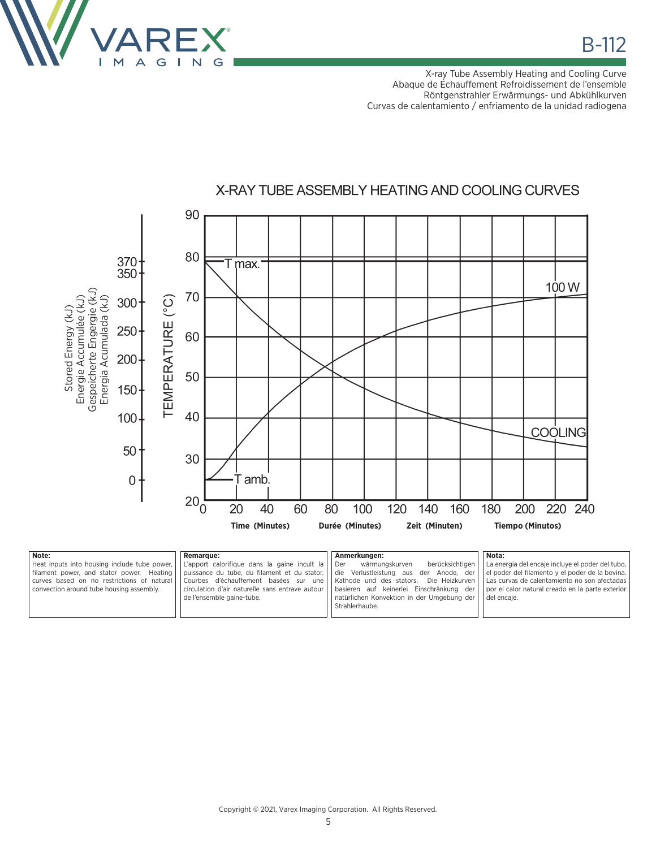

X-ray Tube Assembly Heating and Cooling Curve Abaque de Échauffement Refroidissement de l'ensemble Röntgenstrahler Erwärmungs- und Abkühlkurven Curvas de calentamiento / enfriamento de la unidad radiogena



| Note:                                        | <b>Remarque:</b>                                                                      | Anmerkungen:                                                                                 | Nota:                                            |
|----------------------------------------------|---------------------------------------------------------------------------------------|----------------------------------------------------------------------------------------------|--------------------------------------------------|
| Heat inputs into housing include tube power, | L'apport calorifique dans la gaine incult la   Der                                    | berücksichtigen<br>wärmungskurven                                                            | La energia del encaje incluye el poder del tubo, |
| filament power, and stator power. Heating    | puissance du tube, du filament et du stator.   die Verlustleistung aus der Anode, der |                                                                                              | el poder del filamento y el poder de la bovina.  |
| curves based on no restrictions of natural   |                                                                                       | Courbes d'échauffement basées sur une   Kathode und des stators. Die Heizkurven              | Las curvas de calentamiento no son afectadas     |
| convection around tube housing assembly.     |                                                                                       | circulation d'air naturelle sans entrave autour     basieren auf keinerlei Einschränkung der | por el calor natural creado en la parte exterior |
|                                              | de l'ensemble gaine-tube.                                                             | natürlichen Konvektion in der Umgebung der                                                   | del encaie.                                      |
|                                              |                                                                                       | Strahlerhaube.                                                                               |                                                  |
|                                              |                                                                                       |                                                                                              |                                                  |

X-RAY TUBE ASSEMBLY HEATING AND COOLING CURVES